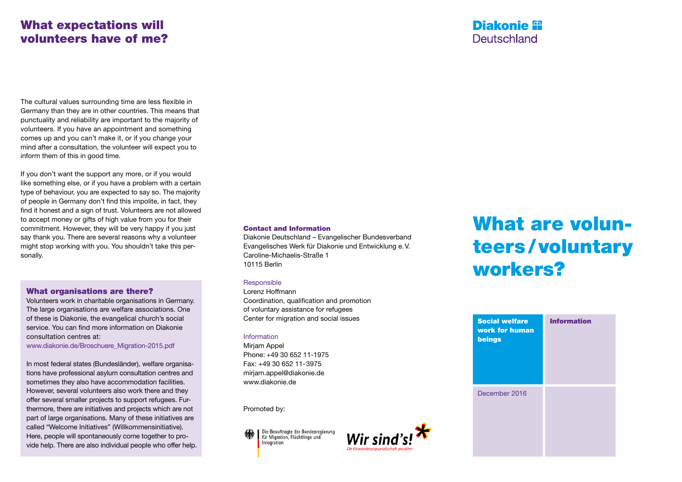## What expectations will volunteers have of me?

The cultural values surrounding time are less flexible in Germany than they are in other countries. This means that punctuality and reliability are important to the majority of volunteers. If you have an appointment and something comes up and you can't make it, or if you change your mind after a consultation, the volunteer will expect you to inform them of this in good time.

If you don't want the support any more, or if you would like something else, or if you have a problem with a certain type of behaviour, you are expected to say so. The majority of people in Germany don't find this impolite, in fact, they find it honest and a sign of trust. Volunteers are not allowed to accept money or gifts of high value from you for their commitment. However, they will be very happy if you just say thank you. There are several reasons why a volunteer might stop working with you. You shouldn't take this personally.

#### What organisations are there?

Volunteers work in charitable organisations in Germany. The large organisations are welfare associations. One of these is Diakonie, the evangelical church's social service. You can find more information on Diakonie consultation centres at:

www.diakonie.de/Broschuere\_Migration-2015.pdf

In most federal states (Bundesländer), welfare organisations have professional asylum consultation centres and sometimes they also have accommodation facilities. However, several volunteers also work there and they offer several smaller projects to support refugees. Furthermore, there are initiatives and projects which are not part of large organisations. Many of these initiatives are called "Welcome Initiatives" (Willkommensinitiative). Here, people will spontaneously come together to provide help. There are also individual people who offer help.

#### Contact and Information

Diakonie Deutschland – Evangelischer Bundesverband Evangelisches Werk für Diakonie und Entwicklung e.V. Caroline-Michaelis-Straße 1 10115 Berlin

#### Responsible

Lorenz Hoffmann Coordination, qualification and promotion of voluntary assistance for refugees Center for migration and social issues

#### Information

Mirjam Appel Phone: +49 30 652 11-1975 Fax: +49 30 652 11-3975 mirjam.appel@diakonie.de www.diakonie.de

Promoted by:

Die Beauftragte der Bundesregierung<br>für Migration, Flüchtlinge und Integration



## What are volunteers/voluntary workers?

**Diakonie**<sup>92</sup> Deutschland

| <b>Social welfare</b><br>work for human<br>beings | <b>Information</b> |
|---------------------------------------------------|--------------------|
| December 2016                                     |                    |